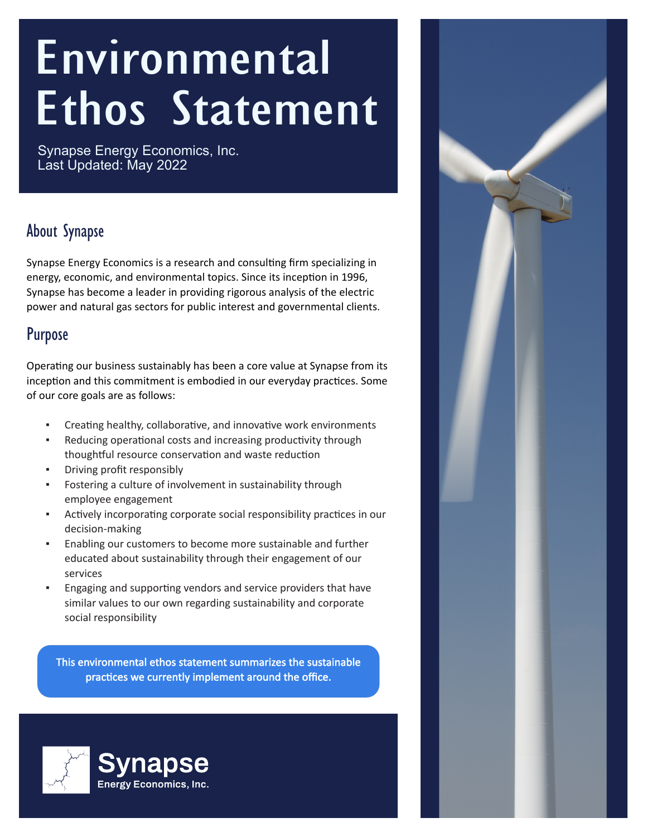# Environmental Ethos Statement

Synapse Energy Economics, Inc. Last Updated: May 2022

#### About Synapse

Synapse Energy Economics is a research and consulting firm specializing in energy, economic, and environmental topics. Since its inception in 1996, Synapse has become a leader in providing rigorous analysis of the electric power and natural gas sectors for public interest and governmental clients.

#### Purpose

Operating our business sustainably has been a core value at Synapse from its inception and this commitment is embodied in our everyday practices. Some of our core goals are as follows:

- Creating healthy, collaborative, and innovative work environments
- **•** Reducing operational costs and increasing productivity through thoughtful resource conservation and waste reduction
- Driving profit responsibly
- Fostering a culture of involvement in sustainability through employee engagement
- **EXECTED EXECTED FOR THE EXECTED FOR THE PROPERT FIGURE:** In our decision-making
- Enabling our customers to become more sustainable and further educated about sustainability through their engagement of our services
- **Engaging and supporting vendors and service providers that have** similar values to our own regarding sustainability and corporate social responsibility

This environmental ethos statement summarizes the sustainable practices we currently implement around the office.